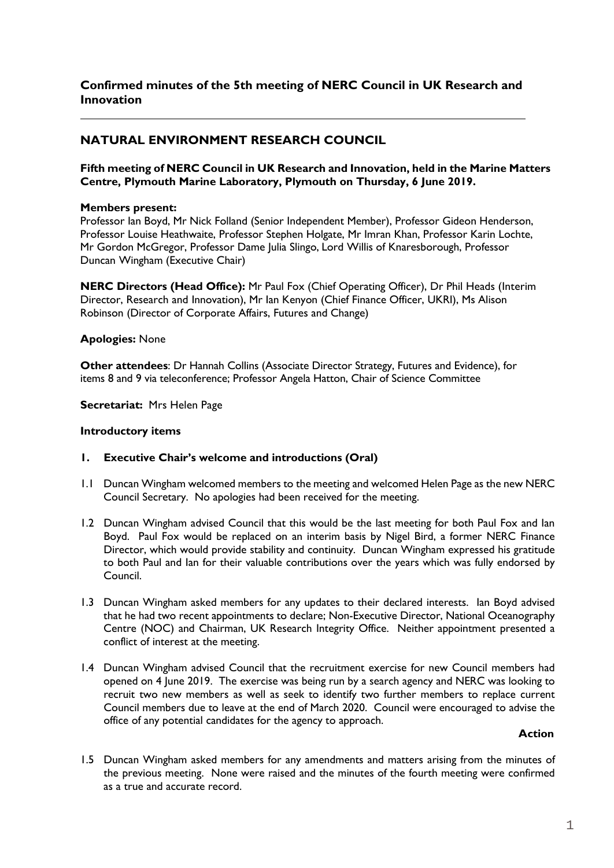## **Confirmed minutes of the 5th meeting of NERC Council in UK Research and Innovation**

# **NATURAL ENVIRONMENT RESEARCH COUNCIL**

### **Fifth meeting of NERC Council in UK Research and Innovation, held in the Marine Matters Centre, Plymouth Marine Laboratory, Plymouth on Thursday, 6 June 2019.**

### **Members present:**

Professor Ian Boyd, Mr Nick Folland (Senior Independent Member), Professor Gideon Henderson, Professor Louise Heathwaite, Professor Stephen Holgate, Mr Imran Khan, Professor Karin Lochte, Mr Gordon McGregor, Professor Dame Julia Slingo, Lord Willis of Knaresborough, Professor Duncan Wingham (Executive Chair)

**NERC Directors (Head Office):** Mr Paul Fox (Chief Operating Officer), Dr Phil Heads (Interim Director, Research and Innovation), Mr Ian Kenyon (Chief Finance Officer, UKRI), Ms Alison Robinson (Director of Corporate Affairs, Futures and Change)

## **Apologies:** None

**Other attendees**: Dr Hannah Collins (Associate Director Strategy, Futures and Evidence), for items 8 and 9 via teleconference; Professor Angela Hatton, Chair of Science Committee

**Secretariat:** Mrs Helen Page

#### **Introductory items**

#### **1. Executive Chair's welcome and introductions (Oral)**

- 1.1 Duncan Wingham welcomed members to the meeting and welcomed Helen Page as the new NERC Council Secretary. No apologies had been received for the meeting.
- 1.2 Duncan Wingham advised Council that this would be the last meeting for both Paul Fox and Ian Boyd. Paul Fox would be replaced on an interim basis by Nigel Bird, a former NERC Finance Director, which would provide stability and continuity. Duncan Wingham expressed his gratitude to both Paul and Ian for their valuable contributions over the years which was fully endorsed by Council.
- 1.3 Duncan Wingham asked members for any updates to their declared interests. Ian Boyd advised that he had two recent appointments to declare; Non-Executive Director, National Oceanography Centre (NOC) and Chairman, UK Research Integrity Office. Neither appointment presented a conflict of interest at the meeting.
- 1.4 Duncan Wingham advised Council that the recruitment exercise for new Council members had opened on 4 June 2019. The exercise was being run by a search agency and NERC was looking to recruit two new members as well as seek to identify two further members to replace current Council members due to leave at the end of March 2020. Council were encouraged to advise the office of any potential candidates for the agency to approach.

#### **Action**

1.5 Duncan Wingham asked members for any amendments and matters arising from the minutes of the previous meeting. None were raised and the minutes of the fourth meeting were confirmed as a true and accurate record.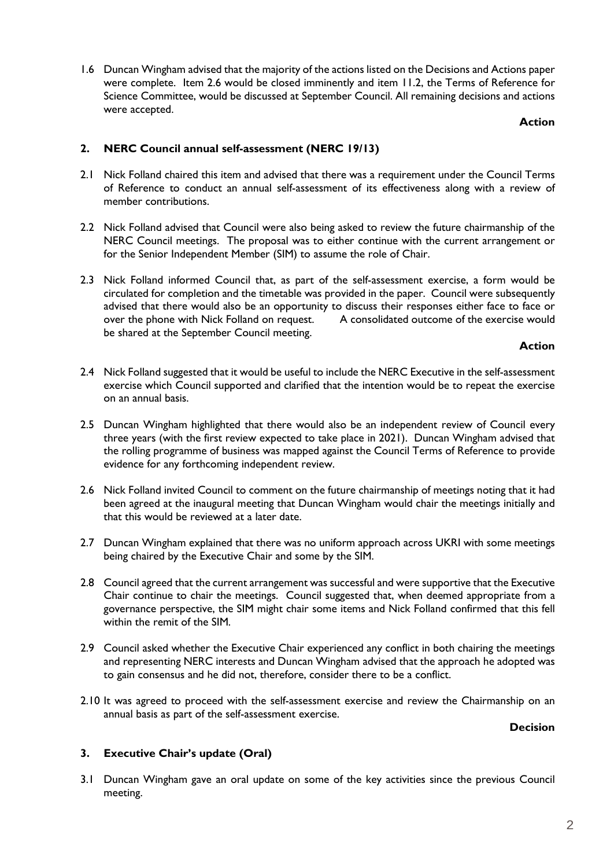1.6 Duncan Wingham advised that the majority of the actions listed on the Decisions and Actions paper were complete. Item 2.6 would be closed imminently and item 11.2, the Terms of Reference for Science Committee, would be discussed at September Council. All remaining decisions and actions were accepted.

**Action**

### **2. NERC Council annual self-assessment (NERC 19/13)**

- 2.1 Nick Folland chaired this item and advised that there was a requirement under the Council Terms of Reference to conduct an annual self-assessment of its effectiveness along with a review of member contributions.
- 2.2 Nick Folland advised that Council were also being asked to review the future chairmanship of the NERC Council meetings. The proposal was to either continue with the current arrangement or for the Senior Independent Member (SIM) to assume the role of Chair.
- 2.3 Nick Folland informed Council that, as part of the self-assessment exercise, a form would be circulated for completion and the timetable was provided in the paper. Council were subsequently advised that there would also be an opportunity to discuss their responses either face to face or<br>over the phone with Nick Folland on request. A consolidated outcome of the exercise would over the phone with Nick Folland on request. be shared at the September Council meeting.

### **Action**

- 2.4 Nick Folland suggested that it would be useful to include the NERC Executive in the self-assessment exercise which Council supported and clarified that the intention would be to repeat the exercise on an annual basis.
- 2.5 Duncan Wingham highlighted that there would also be an independent review of Council every three years (with the first review expected to take place in 2021). Duncan Wingham advised that the rolling programme of business was mapped against the Council Terms of Reference to provide evidence for any forthcoming independent review.
- 2.6 Nick Folland invited Council to comment on the future chairmanship of meetings noting that it had been agreed at the inaugural meeting that Duncan Wingham would chair the meetings initially and that this would be reviewed at a later date.
- 2.7 Duncan Wingham explained that there was no uniform approach across UKRI with some meetings being chaired by the Executive Chair and some by the SIM.
- 2.8 Council agreed that the current arrangement was successful and were supportive that the Executive Chair continue to chair the meetings. Council suggested that, when deemed appropriate from a governance perspective, the SIM might chair some items and Nick Folland confirmed that this fell within the remit of the SIM.
- 2.9 Council asked whether the Executive Chair experienced any conflict in both chairing the meetings and representing NERC interests and Duncan Wingham advised that the approach he adopted was to gain consensus and he did not, therefore, consider there to be a conflict.
- 2.10 It was agreed to proceed with the self-assessment exercise and review the Chairmanship on an annual basis as part of the self-assessment exercise.

**Decision**

## **3. Executive Chair's update (Oral)**

3.1 Duncan Wingham gave an oral update on some of the key activities since the previous Council meeting.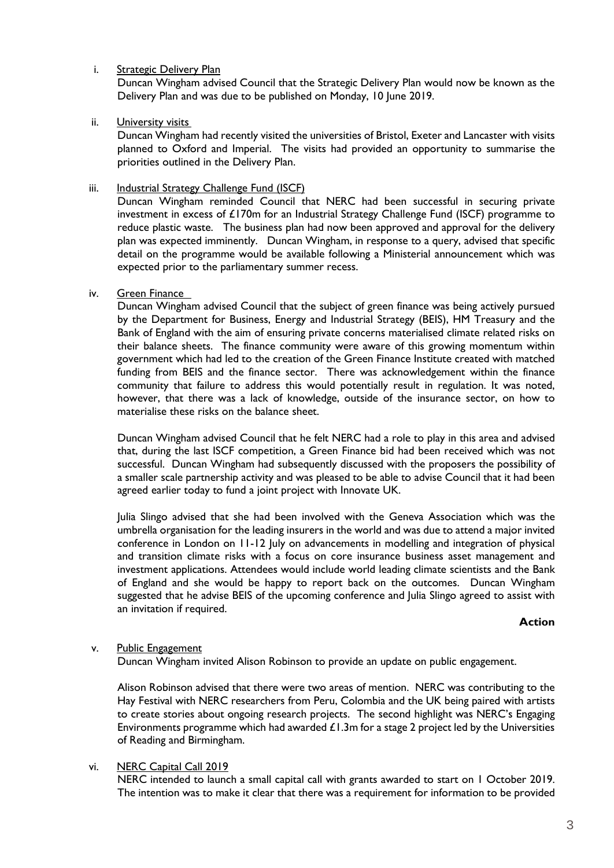### i. Strategic Delivery Plan

Duncan Wingham advised Council that the Strategic Delivery Plan would now be known as the Delivery Plan and was due to be published on Monday, 10 June 2019.

ii. **University visits** 

Duncan Wingham had recently visited the universities of Bristol, Exeter and Lancaster with visits planned to Oxford and Imperial. The visits had provided an opportunity to summarise the priorities outlined in the Delivery Plan.

iii. Industrial Strategy Challenge Fund (ISCF)

Duncan Wingham reminded Council that NERC had been successful in securing private investment in excess of £170m for an Industrial Strategy Challenge Fund (ISCF) programme to reduce plastic waste. The business plan had now been approved and approval for the delivery plan was expected imminently. Duncan Wingham, in response to a query, advised that specific detail on the programme would be available following a Ministerial announcement which was expected prior to the parliamentary summer recess.

### iv. Green Finance

Duncan Wingham advised Council that the subject of green finance was being actively pursued by the Department for Business, Energy and Industrial Strategy (BEIS), HM Treasury and the Bank of England with the aim of ensuring private concerns materialised climate related risks on their balance sheets. The finance community were aware of this growing momentum within government which had led to the creation of the Green Finance Institute created with matched funding from BEIS and the finance sector. There was acknowledgement within the finance community that failure to address this would potentially result in regulation. It was noted, however, that there was a lack of knowledge, outside of the insurance sector, on how to materialise these risks on the balance sheet.

Duncan Wingham advised Council that he felt NERC had a role to play in this area and advised that, during the last ISCF competition, a Green Finance bid had been received which was not successful. Duncan Wingham had subsequently discussed with the proposers the possibility of a smaller scale partnership activity and was pleased to be able to advise Council that it had been agreed earlier today to fund a joint project with Innovate UK.

Julia Slingo advised that she had been involved with the Geneva Association which was the umbrella organisation for the leading insurers in the world and was due to attend a major invited conference in London on 11-12 July on advancements in modelling and integration of physical and transition climate risks with a focus on core insurance business asset management and investment applications. Attendees would include world leading climate scientists and the Bank of England and she would be happy to report back on the outcomes. Duncan Wingham suggested that he advise BEIS of the upcoming conference and Julia Slingo agreed to assist with an invitation if required.

#### **Action**

#### v. Public Engagement

Duncan Wingham invited Alison Robinson to provide an update on public engagement.

Alison Robinson advised that there were two areas of mention. NERC was contributing to the Hay Festival with NERC researchers from Peru, Colombia and the UK being paired with artists to create stories about ongoing research projects. The second highlight was NERC's Engaging Environments programme which had awarded  $£1.3$ m for a stage 2 project led by the Universities of Reading and Birmingham.

#### vi. NERC Capital Call 2019

NERC intended to launch a small capital call with grants awarded to start on 1 October 2019. The intention was to make it clear that there was a requirement for information to be provided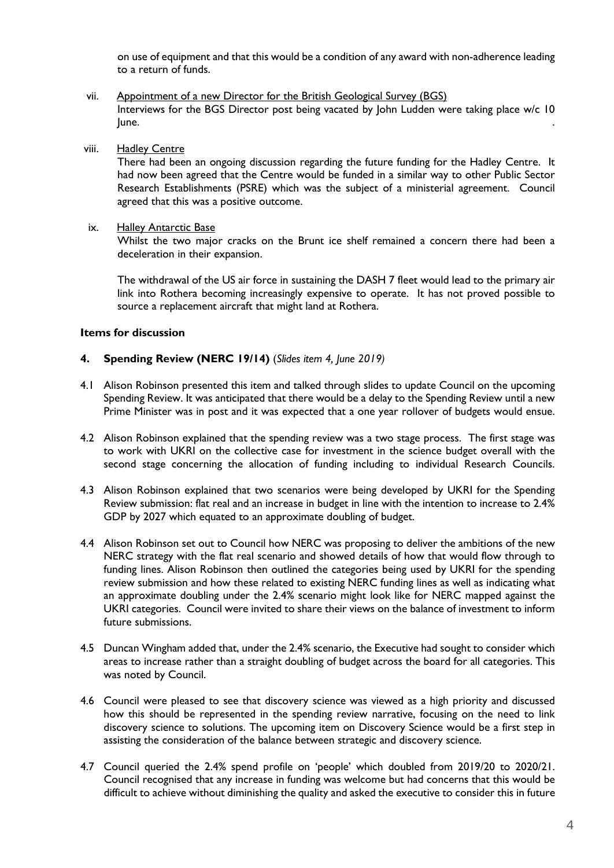on use of equipment and that this would be a condition of any award with non-adherence leading to a return of funds.

- vii. Appointment of a new Director for the British Geological Survey (BGS) Interviews for the BGS Director post being vacated by John Ludden were taking place w/c 10 **Suite** Section 2014 **Contract Contract Contract Contract Contract Contract Contract Contract Contract Contract Contract Contract Contract Contract Contract Contract Contract Contract Contract Contract Contract Contract Co**
- viii. Hadley Centre

There had been an ongoing discussion regarding the future funding for the Hadley Centre. It had now been agreed that the Centre would be funded in a similar way to other Public Sector Research Establishments (PSRE) which was the subject of a ministerial agreement. Council agreed that this was a positive outcome.

ix. Halley Antarctic Base

Whilst the two major cracks on the Brunt ice shelf remained a concern there had been a deceleration in their expansion.

The withdrawal of the US air force in sustaining the DASH 7 fleet would lead to the primary air link into Rothera becoming increasingly expensive to operate. It has not proved possible to source a replacement aircraft that might land at Rothera.

#### **Items for discussion**

#### **4. Spending Review (NERC 19/14)** (*Slides item 4, June 2019)*

- 4.1 Alison Robinson presented this item and talked through slides to update Council on the upcoming Spending Review. It was anticipated that there would be a delay to the Spending Review until a new Prime Minister was in post and it was expected that a one year rollover of budgets would ensue.
- 4.2 Alison Robinson explained that the spending review was a two stage process. The first stage was to work with UKRI on the collective case for investment in the science budget overall with the second stage concerning the allocation of funding including to individual Research Councils.
- 4.3 Alison Robinson explained that two scenarios were being developed by UKRI for the Spending Review submission: flat real and an increase in budget in line with the intention to increase to 2.4% GDP by 2027 which equated to an approximate doubling of budget.
- 4.4 Alison Robinson set out to Council how NERC was proposing to deliver the ambitions of the new NERC strategy with the flat real scenario and showed details of how that would flow through to funding lines. Alison Robinson then outlined the categories being used by UKRI for the spending review submission and how these related to existing NERC funding lines as well as indicating what an approximate doubling under the 2.4% scenario might look like for NERC mapped against the UKRI categories. Council were invited to share their views on the balance of investment to inform future submissions.
- 4.5 Duncan Wingham added that, under the 2.4% scenario, the Executive had sought to consider which areas to increase rather than a straight doubling of budget across the board for all categories. This was noted by Council.
- 4.6 Council were pleased to see that discovery science was viewed as a high priority and discussed how this should be represented in the spending review narrative, focusing on the need to link discovery science to solutions. The upcoming item on Discovery Science would be a first step in assisting the consideration of the balance between strategic and discovery science.
- 4.7 Council queried the 2.4% spend profile on 'people' which doubled from 2019/20 to 2020/21. Council recognised that any increase in funding was welcome but had concerns that this would be difficult to achieve without diminishing the quality and asked the executive to consider this in future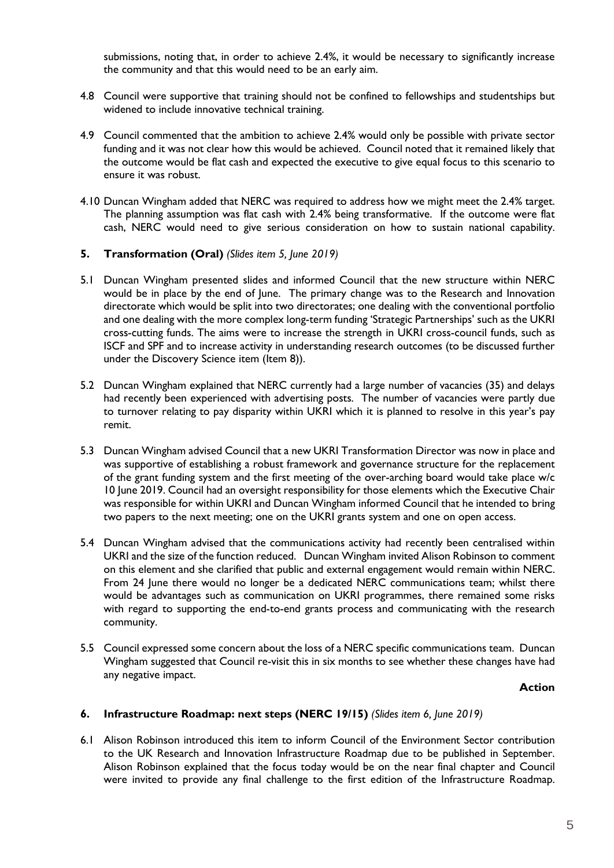submissions, noting that, in order to achieve 2.4%, it would be necessary to significantly increase the community and that this would need to be an early aim.

- 4.8 Council were supportive that training should not be confined to fellowships and studentships but widened to include innovative technical training.
- 4.9 Council commented that the ambition to achieve 2.4% would only be possible with private sector funding and it was not clear how this would be achieved. Council noted that it remained likely that the outcome would be flat cash and expected the executive to give equal focus to this scenario to ensure it was robust.
- 4.10 Duncan Wingham added that NERC was required to address how we might meet the 2.4% target. The planning assumption was flat cash with 2.4% being transformative. If the outcome were flat cash, NERC would need to give serious consideration on how to sustain national capability.

### **5. Transformation (Oral)** *(Slides item 5, June 2019)*

- 5.1 Duncan Wingham presented slides and informed Council that the new structure within NERC would be in place by the end of June. The primary change was to the Research and Innovation directorate which would be split into two directorates; one dealing with the conventional portfolio and one dealing with the more complex long-term funding 'Strategic Partnerships' such as the UKRI cross-cutting funds. The aims were to increase the strength in UKRI cross-council funds, such as ISCF and SPF and to increase activity in understanding research outcomes (to be discussed further under the Discovery Science item (Item 8)).
- 5.2 Duncan Wingham explained that NERC currently had a large number of vacancies (35) and delays had recently been experienced with advertising posts. The number of vacancies were partly due to turnover relating to pay disparity within UKRI which it is planned to resolve in this year's pay remit.
- 5.3 Duncan Wingham advised Council that a new UKRI Transformation Director was now in place and was supportive of establishing a robust framework and governance structure for the replacement of the grant funding system and the first meeting of the over-arching board would take place w/c 10 June 2019. Council had an oversight responsibility for those elements which the Executive Chair was responsible for within UKRI and Duncan Wingham informed Council that he intended to bring two papers to the next meeting; one on the UKRI grants system and one on open access.
- 5.4 Duncan Wingham advised that the communications activity had recently been centralised within UKRI and the size of the function reduced. Duncan Wingham invited Alison Robinson to comment on this element and she clarified that public and external engagement would remain within NERC. From 24 June there would no longer be a dedicated NERC communications team; whilst there would be advantages such as communication on UKRI programmes, there remained some risks with regard to supporting the end-to-end grants process and communicating with the research community.
- 5.5 Council expressed some concern about the loss of a NERC specific communications team. Duncan Wingham suggested that Council re-visit this in six months to see whether these changes have had any negative impact.

#### **Action**

#### **6. Infrastructure Roadmap: next steps (NERC 19/15)** *(Slides item 6, June 2019)*

6.1 Alison Robinson introduced this item to inform Council of the Environment Sector contribution to the UK Research and Innovation Infrastructure Roadmap due to be published in September. Alison Robinson explained that the focus today would be on the near final chapter and Council were invited to provide any final challenge to the first edition of the Infrastructure Roadmap.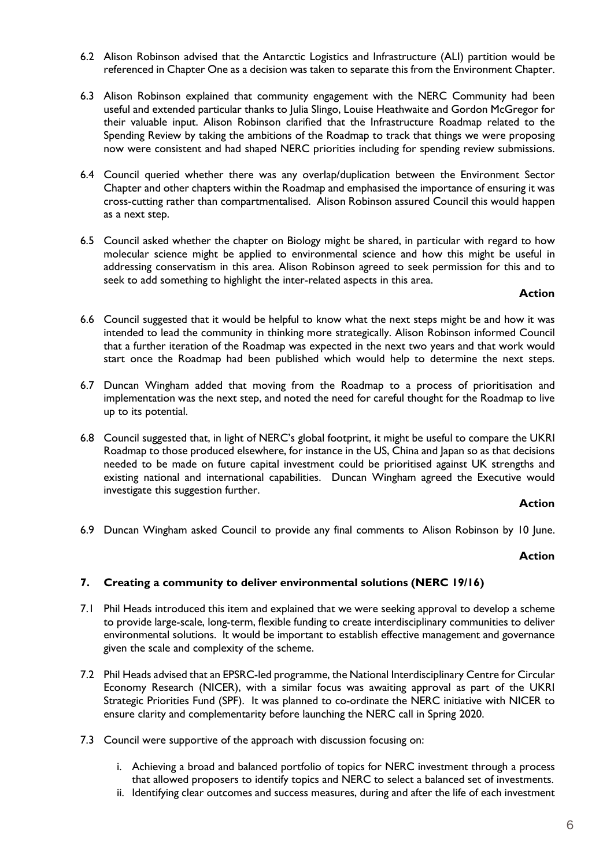- 6.2 Alison Robinson advised that the Antarctic Logistics and Infrastructure (ALI) partition would be referenced in Chapter One as a decision was taken to separate this from the Environment Chapter.
- 6.3 Alison Robinson explained that community engagement with the NERC Community had been useful and extended particular thanks to Julia Slingo, Louise Heathwaite and Gordon McGregor for their valuable input. Alison Robinson clarified that the Infrastructure Roadmap related to the Spending Review by taking the ambitions of the Roadmap to track that things we were proposing now were consistent and had shaped NERC priorities including for spending review submissions.
- 6.4 Council queried whether there was any overlap/duplication between the Environment Sector Chapter and other chapters within the Roadmap and emphasised the importance of ensuring it was cross-cutting rather than compartmentalised. Alison Robinson assured Council this would happen as a next step.
- 6.5 Council asked whether the chapter on Biology might be shared, in particular with regard to how molecular science might be applied to environmental science and how this might be useful in addressing conservatism in this area. Alison Robinson agreed to seek permission for this and to seek to add something to highlight the inter-related aspects in this area.

## **Action**

- 6.6 Council suggested that it would be helpful to know what the next steps might be and how it was intended to lead the community in thinking more strategically. Alison Robinson informed Council that a further iteration of the Roadmap was expected in the next two years and that work would start once the Roadmap had been published which would help to determine the next steps.
- 6.7 Duncan Wingham added that moving from the Roadmap to a process of prioritisation and implementation was the next step, and noted the need for careful thought for the Roadmap to live up to its potential.
- 6.8 Council suggested that, in light of NERC's global footprint, it might be useful to compare the UKRI Roadmap to those produced elsewhere, for instance in the US, China and Japan so as that decisions needed to be made on future capital investment could be prioritised against UK strengths and existing national and international capabilities. Duncan Wingham agreed the Executive would investigate this suggestion further.

#### **Action**

6.9 Duncan Wingham asked Council to provide any final comments to Alison Robinson by 10 June.

## **Action**

## **7. Creating a community to deliver environmental solutions (NERC 19/16)**

- 7.1 Phil Heads introduced this item and explained that we were seeking approval to develop a scheme to provide large-scale, long-term, flexible funding to create interdisciplinary communities to deliver environmental solutions. It would be important to establish effective management and governance given the scale and complexity of the scheme.
- 7.2 Phil Heads advised that an EPSRC-led programme, the National Interdisciplinary Centre for Circular Economy Research (NICER), with a similar focus was awaiting approval as part of the UKRI Strategic Priorities Fund (SPF). It was planned to co-ordinate the NERC initiative with NICER to ensure clarity and complementarity before launching the NERC call in Spring 2020.
- 7.3 Council were supportive of the approach with discussion focusing on:
	- i. Achieving a broad and balanced portfolio of topics for NERC investment through a process that allowed proposers to identify topics and NERC to select a balanced set of investments.
	- ii. Identifying clear outcomes and success measures, during and after the life of each investment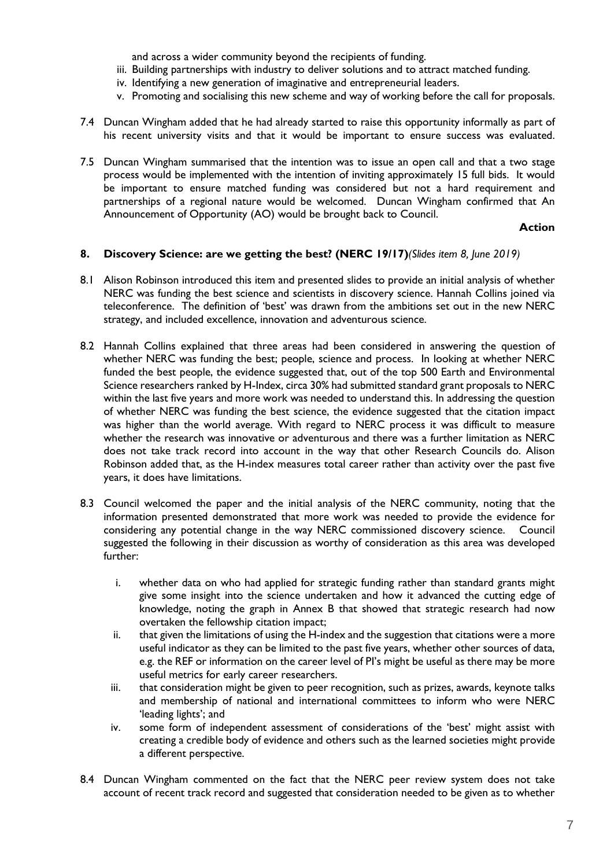and across a wider community beyond the recipients of funding.

- iii. Building partnerships with industry to deliver solutions and to attract matched funding.
- iv. Identifying a new generation of imaginative and entrepreneurial leaders.
- v. Promoting and socialising this new scheme and way of working before the call for proposals.
- 7.4 Duncan Wingham added that he had already started to raise this opportunity informally as part of his recent university visits and that it would be important to ensure success was evaluated.
- 7.5 Duncan Wingham summarised that the intention was to issue an open call and that a two stage process would be implemented with the intention of inviting approximately 15 full bids. It would be important to ensure matched funding was considered but not a hard requirement and partnerships of a regional nature would be welcomed. Duncan Wingham confirmed that An Announcement of Opportunity (AO) would be brought back to Council.

### **Action**

## **8. Discovery Science: are we getting the best? (NERC 19/17)***(Slides item 8, June 2019)*

- 8.1 Alison Robinson introduced this item and presented slides to provide an initial analysis of whether NERC was funding the best science and scientists in discovery science. Hannah Collins joined via teleconference. The definition of 'best' was drawn from the ambitions set out in the new NERC strategy, and included excellence, innovation and adventurous science.
- 8.2 Hannah Collins explained that three areas had been considered in answering the question of whether NERC was funding the best; people, science and process. In looking at whether NERC funded the best people, the evidence suggested that, out of the top 500 Earth and Environmental Science researchers ranked by H-Index, circa 30% had submitted standard grant proposals to NERC within the last five years and more work was needed to understand this. In addressing the question of whether NERC was funding the best science, the evidence suggested that the citation impact was higher than the world average. With regard to NERC process it was difficult to measure whether the research was innovative or adventurous and there was a further limitation as NERC does not take track record into account in the way that other Research Councils do. Alison Robinson added that, as the H-index measures total career rather than activity over the past five years, it does have limitations.
- 8.3 Council welcomed the paper and the initial analysis of the NERC community, noting that the information presented demonstrated that more work was needed to provide the evidence for considering any potential change in the way NERC commissioned discovery science. Council suggested the following in their discussion as worthy of consideration as this area was developed further:
	- i. whether data on who had applied for strategic funding rather than standard grants might give some insight into the science undertaken and how it advanced the cutting edge of knowledge, noting the graph in Annex B that showed that strategic research had now overtaken the fellowship citation impact;
	- ii. that given the limitations of using the H-index and the suggestion that citations were a more useful indicator as they can be limited to the past five years, whether other sources of data, e.g. the REF or information on the career level of PI's might be useful as there may be more useful metrics for early career researchers.
	- iii. that consideration might be given to peer recognition, such as prizes, awards, keynote talks and membership of national and international committees to inform who were NERC 'leading lights'; and
	- iv. some form of independent assessment of considerations of the 'best' might assist with creating a credible body of evidence and others such as the learned societies might provide a different perspective.
- 8.4 Duncan Wingham commented on the fact that the NERC peer review system does not take account of recent track record and suggested that consideration needed to be given as to whether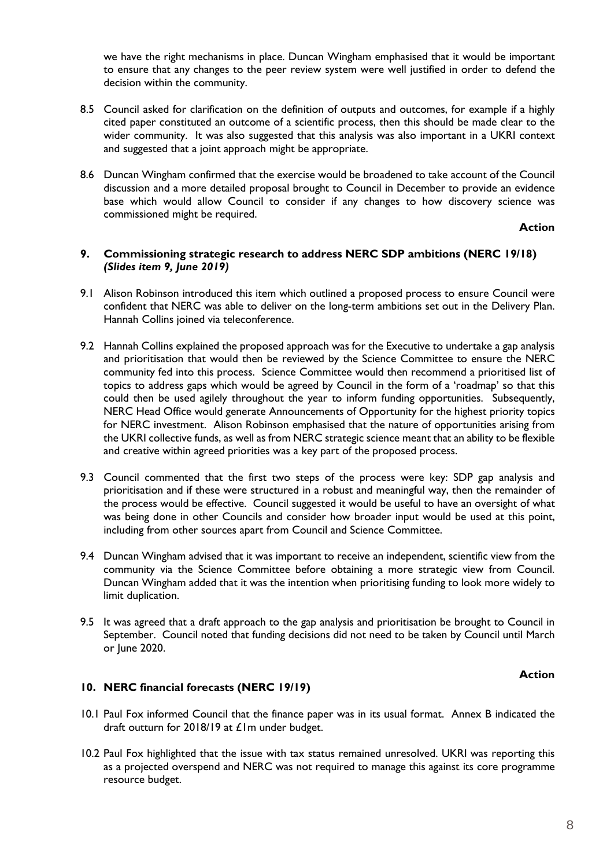we have the right mechanisms in place. Duncan Wingham emphasised that it would be important to ensure that any changes to the peer review system were well justified in order to defend the decision within the community.

- 8.5 Council asked for clarification on the definition of outputs and outcomes, for example if a highly cited paper constituted an outcome of a scientific process, then this should be made clear to the wider community. It was also suggested that this analysis was also important in a UKRI context and suggested that a joint approach might be appropriate.
- 8.6 Duncan Wingham confirmed that the exercise would be broadened to take account of the Council discussion and a more detailed proposal brought to Council in December to provide an evidence base which would allow Council to consider if any changes to how discovery science was commissioned might be required.

**Action**

### **9. Commissioning strategic research to address NERC SDP ambitions (NERC 19/18)**  *(Slides item 9, June 2019)*

- 9.1 Alison Robinson introduced this item which outlined a proposed process to ensure Council were confident that NERC was able to deliver on the long-term ambitions set out in the Delivery Plan. Hannah Collins joined via teleconference.
- 9.2 Hannah Collins explained the proposed approach was for the Executive to undertake a gap analysis and prioritisation that would then be reviewed by the Science Committee to ensure the NERC community fed into this process. Science Committee would then recommend a prioritised list of topics to address gaps which would be agreed by Council in the form of a 'roadmap' so that this could then be used agilely throughout the year to inform funding opportunities. Subsequently, NERC Head Office would generate Announcements of Opportunity for the highest priority topics for NERC investment. Alison Robinson emphasised that the nature of opportunities arising from the UKRI collective funds, as well as from NERC strategic science meant that an ability to be flexible and creative within agreed priorities was a key part of the proposed process.
- 9.3 Council commented that the first two steps of the process were key: SDP gap analysis and prioritisation and if these were structured in a robust and meaningful way, then the remainder of the process would be effective. Council suggested it would be useful to have an oversight of what was being done in other Councils and consider how broader input would be used at this point, including from other sources apart from Council and Science Committee.
- 9.4 Duncan Wingham advised that it was important to receive an independent, scientific view from the community via the Science Committee before obtaining a more strategic view from Council. Duncan Wingham added that it was the intention when prioritising funding to look more widely to limit duplication.
- 9.5 It was agreed that a draft approach to the gap analysis and prioritisation be brought to Council in September. Council noted that funding decisions did not need to be taken by Council until March or June 2020.

## **Action**

## **10. NERC financial forecasts (NERC 19/19)**

- 10.1 Paul Fox informed Council that the finance paper was in its usual format. Annex B indicated the draft outturn for 2018/19 at £1m under budget.
- 10.2 Paul Fox highlighted that the issue with tax status remained unresolved. UKRI was reporting this as a projected overspend and NERC was not required to manage this against its core programme resource budget.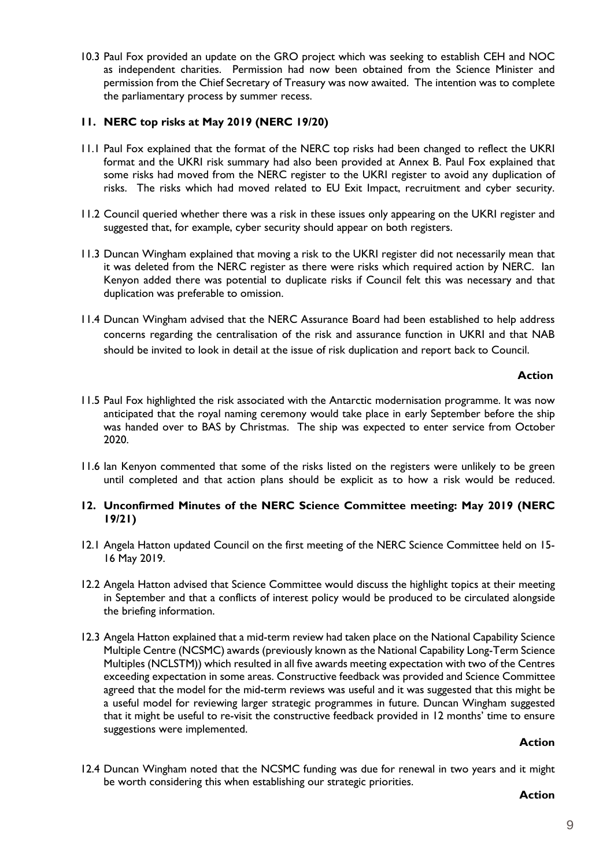10.3 Paul Fox provided an update on the GRO project which was seeking to establish CEH and NOC as independent charities. Permission had now been obtained from the Science Minister and permission from the Chief Secretary of Treasury was now awaited. The intention was to complete the parliamentary process by summer recess.

## **11. NERC top risks at May 2019 (NERC 19/20)**

- 11.1 Paul Fox explained that the format of the NERC top risks had been changed to reflect the UKRI format and the UKRI risk summary had also been provided at Annex B. Paul Fox explained that some risks had moved from the NERC register to the UKRI register to avoid any duplication of risks. The risks which had moved related to EU Exit Impact, recruitment and cyber security.
- 11.2 Council queried whether there was a risk in these issues only appearing on the UKRI register and suggested that, for example, cyber security should appear on both registers.
- 11.3 Duncan Wingham explained that moving a risk to the UKRI register did not necessarily mean that it was deleted from the NERC register as there were risks which required action by NERC. Ian Kenyon added there was potential to duplicate risks if Council felt this was necessary and that duplication was preferable to omission.
- 11.4 Duncan Wingham advised that the NERC Assurance Board had been established to help address concerns regarding the centralisation of the risk and assurance function in UKRI and that NAB should be invited to look in detail at the issue of risk duplication and report back to Council.

## **Action**

- 11.5 Paul Fox highlighted the risk associated with the Antarctic modernisation programme. It was now anticipated that the royal naming ceremony would take place in early September before the ship was handed over to BAS by Christmas. The ship was expected to enter service from October 2020.
- 11.6 Ian Kenyon commented that some of the risks listed on the registers were unlikely to be green until completed and that action plans should be explicit as to how a risk would be reduced.

### **12. Unconfirmed Minutes of the NERC Science Committee meeting: May 2019 (NERC 19/21)**

- 12.1 Angela Hatton updated Council on the first meeting of the NERC Science Committee held on 15- 16 May 2019.
- 12.2 Angela Hatton advised that Science Committee would discuss the highlight topics at their meeting in September and that a conflicts of interest policy would be produced to be circulated alongside the briefing information.
- 12.3 Angela Hatton explained that a mid-term review had taken place on the National Capability Science Multiple Centre (NCSMC) awards (previously known as the National Capability Long-Term Science Multiples (NCLSTM)) which resulted in all five awards meeting expectation with two of the Centres exceeding expectation in some areas. Constructive feedback was provided and Science Committee agreed that the model for the mid-term reviews was useful and it was suggested that this might be a useful model for reviewing larger strategic programmes in future. Duncan Wingham suggested that it might be useful to re-visit the constructive feedback provided in 12 months' time to ensure suggestions were implemented.

## **Action**

12.4 Duncan Wingham noted that the NCSMC funding was due for renewal in two years and it might be worth considering this when establishing our strategic priorities.

## **Action**